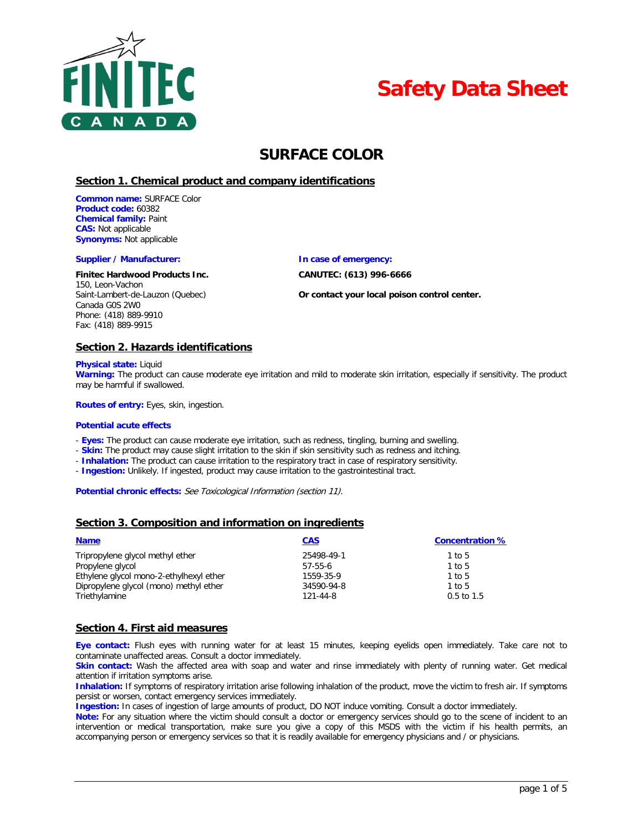



# **SURFACE COLOR**

### **Section 1. Chemical product and company identifications**

**Common name:** SURFACE Color **Product code:** 60382 **Chemical family:** Paint **CAS:** Not applicable **Synonyms:** Not applicable

#### **Supplier / Manufacturer: In case of emergency:**

#### **Finitec Hardwood Products Inc. CANUTEC: (613) 996-6666**

150, Leon-Vachon Canada G0S 2W0 Phone: (418) 889-9910 Fax: (418) 889-9915

Saint-Lambert-de-Lauzon (Quebec) **Or contact your local poison control center.**

### **Section 2. Hazards identifications**

#### **Physical state:** Liquid

**Warning:** The product can cause moderate eye irritation and mild to moderate skin irritation, especially if sensitivity. The product may be harmful if swallowed.

**Routes of entry:** Eyes, skin, ingestion.

#### **Potential acute effects**

- **Eyes:** The product can cause moderate eye irritation, such as redness, tingling, burning and swelling.

- **Skin:** The product may cause slight irritation to the skin if skin sensitivity such as redness and itching.

- **Inhalation:** The product can cause irritation to the respiratory tract in case of respiratory sensitivity.

- **Ingestion:** Unlikely. If ingested, product may cause irritation to the gastrointestinal tract.

Potential chronic effects: See Toxicological Information (section 11).

### **Section 3. Composition and information on ingredients**

| <b>Name</b>                             | <b>CAS</b> | <b>Concentration %</b> |
|-----------------------------------------|------------|------------------------|
| Tripropylene glycol methyl ether        | 25498-49-1 | 1 to 5                 |
| Propylene glycol                        | $57-55-6$  | 1 to 5                 |
| Ethylene glycol mono-2-ethylhexyl ether | 1559-35-9  | 1 to 5                 |
| Dipropylene glycol (mono) methyl ether  | 34590-94-8 | 1 to 5                 |
| Triethylamine                           | 121-44-8   | $0.5$ to 1.5           |

### **Section 4. First aid measures**

**Eye contact:** Flush eyes with running water for at least 15 minutes, keeping eyelids open immediately. Take care not to contaminate unaffected areas. Consult a doctor immediately.

**Skin contact:** Wash the affected area with soap and water and rinse immediately with plenty of running water. Get medical attention if irritation symptoms arise.

**Inhalation:** If symptoms of respiratory irritation arise following inhalation of the product, move the victim to fresh air. If symptoms persist or worsen, contact emergency services immediately.

**Ingestion:** In cases of ingestion of large amounts of product, DO NOT induce vomiting. Consult a doctor immediately.

**Note:** For any situation where the victim should consult a doctor or emergency services should go to the scene of incident to an intervention or medical transportation, make sure you give a copy of this MSDS with the victim if his health permits, an accompanying person or emergency services so that it is readily available for emergency physicians and / or physicians.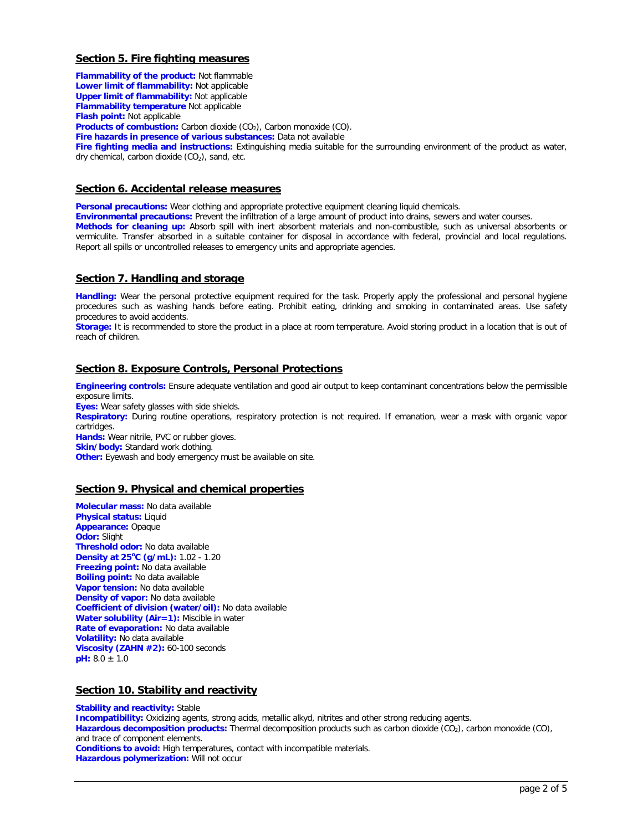# **Section 5. Fire fighting measures**

**Flammability of the product:** Not flammable **Lower limit of flammability:** Not applicable **Upper limit of flammability:** Not applicable **Flammability temperature** Not applicable **Flash point:** Not applicable **Products of combustion:** Carbon dioxide (CO<sub>2</sub>), Carbon monoxide (CO). **Fire hazards in presence of various substances:** Data not available **Fire fighting media and instructions:** Extinguishing media suitable for the surrounding environment of the product as water, dry chemical, carbon dioxide  $(CO<sub>2</sub>)$ , sand, etc.

# **Section 6. Accidental release measures**

**Personal precautions:** Wear clothing and appropriate protective equipment cleaning liquid chemicals.

**Environmental precautions:** Prevent the infiltration of a large amount of product into drains, sewers and water courses.

**Methods for cleaning up:** Absorb spill with inert absorbent materials and non-combustible, such as universal absorbents or vermiculite. Transfer absorbed in a suitable container for disposal in accordance with federal, provincial and local regulations. Report all spills or uncontrolled releases to emergency units and appropriate agencies.

### **Section 7. Handling and storage**

**Handling:** Wear the personal protective equipment required for the task. Properly apply the professional and personal hygiene procedures such as washing hands before eating. Prohibit eating, drinking and smoking in contaminated areas. Use safety procedures to avoid accidents.

**Storage:** It is recommended to store the product in a place at room temperature. Avoid storing product in a location that is out of reach of children.

# **Section 8. Exposure Controls, Personal Protections**

**Engineering controls:** Ensure adequate ventilation and good air output to keep contaminant concentrations below the permissible exposure limits.

**Eyes:** Wear safety glasses with side shields.

**Respiratory:** During routine operations, respiratory protection is not required. If emanation, wear a mask with organic vapor cartridges.

**Hands:** Wear nitrile, PVC or rubber gloves.

**Skin/body:** Standard work clothing.

**Other:** Eyewash and body emergency must be available on site.

# **Section 9. Physical and chemical properties**

**Molecular mass:** No data available **Physical status:** Liquid **Appearance:** Opaque **Odor:** Slight **Threshold odor:** No data available **Density at 25<sup>o</sup> C (g/mL):** 1.02 - 1.20 **Freezing point:** No data available **Boiling point:** No data available **Vapor tension:** No data available **Density of vapor:** No data available **Coefficient of division (water/oil):** No data available **Water solubility (Air=1):** Miscible in water **Rate of evaporation:** No data available **Volatility:** No data available **Viscosity (ZAHN #2):** 60-100 seconds **pH:** 8.0 ± 1.0

# **Section 10. Stability and reactivity**

**Stability and reactivity:** Stable **Incompatibility:** Oxidizing agents, strong acids, metallic alkyd, nitrites and other strong reducing agents. Hazardous decomposition products: Thermal decomposition products such as carbon dioxide (CO<sub>2</sub>), carbon monoxide (CO<sub>)</sub>, and trace of component elements. **Conditions to avoid:** High temperatures, contact with incompatible materials. **Hazardous polymerization:** Will not occur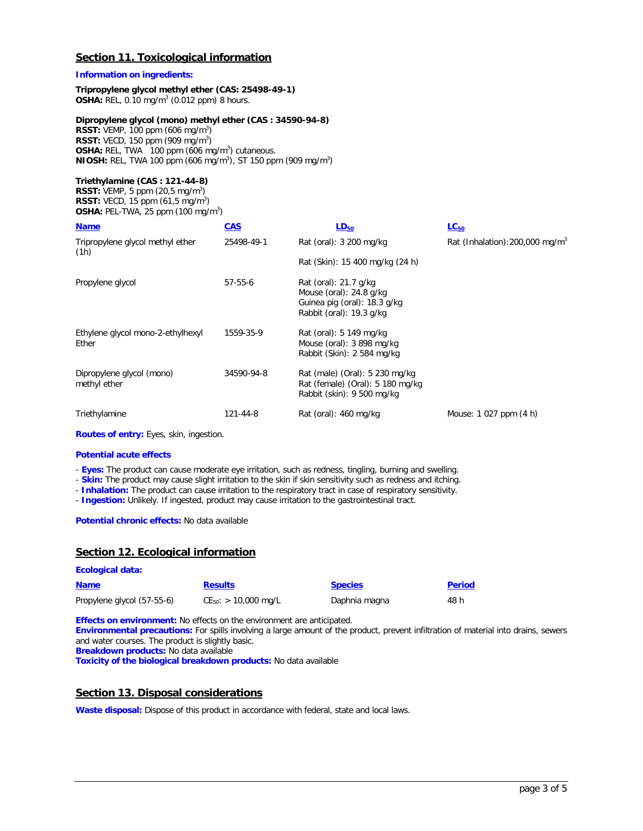# **Section 11. Toxicological information**

### **Information on ingredients:**

#### **Tripropylene glycol methyl ether (CAS: 25498-49-1) OSHA:** REL, 0.10 mg/m3 (0.012 ppm) 8 hours.

### **Dipropylene glycol (mono) methyl ether (CAS : 34590-94-8)**

**RSST:** VEMP, 100 ppm (606 mg/m<sup>3</sup>) **RSST:** VECD, 150 ppm (909 mg/m<sup>3</sup>) **OSHA:** REL, TWA 100 ppm (606 mg/m<sup>3</sup>) cutaneous. **NIOSH:** REL, TWA 100 ppm (606 mg/m<sup>3</sup>), ST 150 ppm (909 mg/m<sup>3</sup>)

### **Triethylamine (CAS : 121-44-8)**

**RSST:** VEMP, 5 ppm  $(20,5 \text{ mg/m}^3)$ **RSST:** VECD, 15 ppm (61,5 mg/m<sup>3</sup>) **OSHA: PEL-TWA, 25 ppm (100 mg/m<sup>3</sup>)** 

| <b>Name</b>                                | <b>CAS</b> | $LD_{50}$                                                                                                      | $LC_{50}$                                   |
|--------------------------------------------|------------|----------------------------------------------------------------------------------------------------------------|---------------------------------------------|
| Tripropylene glycol methyl ether<br>(1h)   | 25498-49-1 | Rat (oral): 3 200 mg/kg                                                                                        | Rat (Inhalation): 200,000 mg/m <sup>3</sup> |
|                                            |            | Rat (Skin): 15 400 mg/kg (24 h)                                                                                |                                             |
| Propylene glycol                           | 57-55-6    | Rat (oral): 21.7 g/kg<br>Mouse (oral): $24.8$ g/kg<br>Guinea pig (oral): 18.3 g/kg<br>Rabbit (oral): 19.3 g/kg |                                             |
| Ethylene glycol mono-2-ethylhexyl<br>Ether | 1559-35-9  | Rat (oral): 5 149 mg/kg<br>Mouse (oral): 3 898 mg/kg<br>Rabbit (Skin): 2 584 mg/kg                             |                                             |
| Dipropylene glycol (mono)<br>methyl ether  | 34590-94-8 | Rat (male) (Oral): 5 230 mg/kg<br>Rat (female) (Oral): 5 180 mg/kg<br>Rabbit (skin): 9 500 mg/kg               |                                             |
| Triethylamine                              | 121-44-8   | Rat (oral): 460 mg/kg                                                                                          | Mouse: 1 027 ppm (4 h)                      |

**Routes of entry:** Eyes, skin, ingestion.

#### **Potential acute effects**

**Ecological data:**

- **Eyes:** The product can cause moderate eye irritation, such as redness, tingling, burning and swelling.

- **Skin:** The product may cause slight irritation to the skin if skin sensitivity such as redness and itching.

- **Inhalation:** The product can cause irritation to the respiratory tract in case of respiratory sensitivity.

- **Ingestion:** Unlikely. If ingested, product may cause irritation to the gastrointestinal tract.

**Potential chronic effects:** No data available

# **Section 12. Ecological information**

| <b>Name</b>                | <b>Results</b>            | <b>Species</b> | <b>Period</b> |
|----------------------------|---------------------------|----------------|---------------|
| Propylene glycol (57-55-6) | $CE_{50}$ : > 10,000 mg/L | Daphnia magna  | 48 h          |

**Effects on environment:** No effects on the environment are anticipated.

**Environmental precautions:** For spills involving a large amount of the product, prevent infiltration of material into drains, sewers and water courses. The product is slightly basic. **Breakdown products:** No data available

**Toxicity of the biological breakdown products:** No data available

### **Section 13. Disposal considerations**

Waste disposal: Dispose of this product in accordance with federal, state and local laws.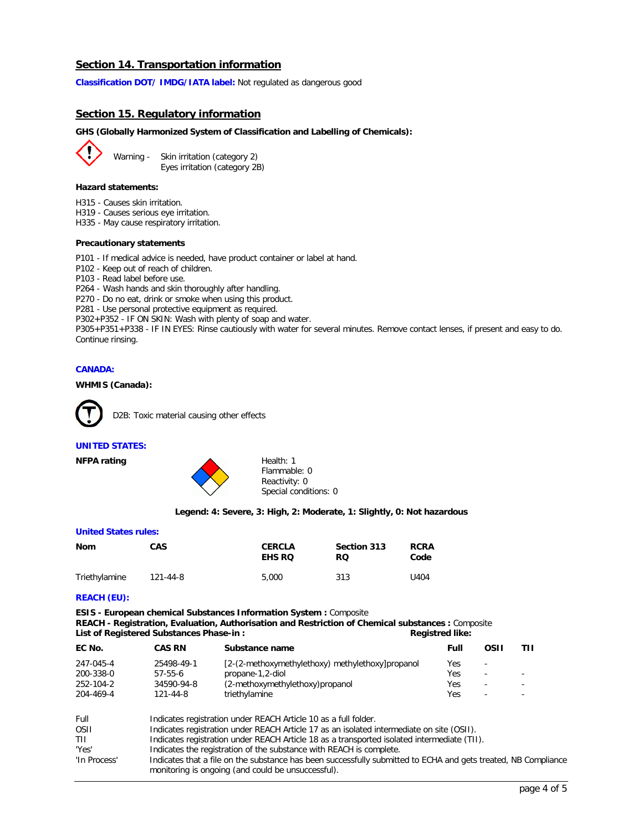# **Section 14. Transportation information**

**Classification DOT/ IMDG/IATA label:** Not regulated as dangerous good

### **Section 15. Regulatory information**

#### **GHS (Globally Harmonized System of Classification and Labelling of Chemicals):**

Warning - Skin irritation (category 2) Eyes irritation (category 2B)

#### **Hazard statements:**

- H315 Causes skin irritation.
- H319 Causes serious eye irritation.

H335 - May cause respiratory irritation.

#### **Precautionary statements**

P101 - If medical advice is needed, have product container or label at hand.

- P102 Keep out of reach of children.
- P103 Read label before use.

P264 - Wash hands and skin thoroughly after handling.

P270 - Do no eat, drink or smoke when using this product.

P281 - Use personal protective equipment as required.

P302+P352 - IF ON SKIN: Wash with plenty of soap and water.

P305+P351+P338 - IF IN EYES: Rinse cautiously with water for several minutes. Remove contact lenses, if present and easy to do. Continue rinsing.

### **CANADA:**

### **WHMIS (Canada):**



D2B: Toxic material causing other effects

#### **UNITED STATES:**



Flammable: 0 Reactivity: 0 Special conditions: 0

#### **Legend: 4: Severe, 3: High, 2: Moderate, 1: Slightly, 0: Not hazardous**

#### **United States rules:**

| Nom           | <b>CAS</b> | <b>CERCLA</b><br><b>EHS RO</b> | Section 313<br>RQ. | <b>RCRA</b><br>Code |
|---------------|------------|--------------------------------|--------------------|---------------------|
| Triethylamine | 121-44-8   | 5,000                          | 313                | U404                |

#### **REACH (EU):**

**ESIS - European chemical Substances Information System :** Composite **REACH - Registration, Evaluation, Authorisation and Restriction of Chemical substances :** Composite List of Registered Substances Phase-in : **Registred like:** Registred like:

| EC No.    | <b>CAS RN</b> | Substance name                                   | Full | OSII                     |  |
|-----------|---------------|--------------------------------------------------|------|--------------------------|--|
| 247-045-4 | 25498-49-1    | [2-(2-methoxymethylethoxy) methylethoxy]propanol | Yes  | $\overline{\phantom{a}}$ |  |
| 200-338-0 | $57-55-6$     | propane-1,2-diol                                 | Yes  | $\overline{\phantom{a}}$ |  |
| 252-104-2 | 34590-94-8    | (2-methoxymethylethoxy)propanol                  | Yes  | $\overline{\phantom{a}}$ |  |
| 204-469-4 | 121-44-8      | triethylamine                                    | Yes  | $\overline{\phantom{0}}$ |  |
|           |               |                                                  |      |                          |  |

| Full         | Indicates registration under REACH Article 10 as a full folder.                                                |
|--------------|----------------------------------------------------------------------------------------------------------------|
| <b>OSII</b>  | Indicates registration under REACH Article 17 as an isolated intermediate on site (OSII).                      |
| TIL          | Indicates registration under REACH Article 18 as a transported isolated intermediate (TII).                    |
| 'Yes'        | Indicates the registration of the substance with REACH is complete.                                            |
| 'In Process' | Indicates that a file on the substance has been successfully submitted to ECHA and gets treated, NB Compliance |
|              | monitoring is ongoing (and could be unsuccessful).                                                             |